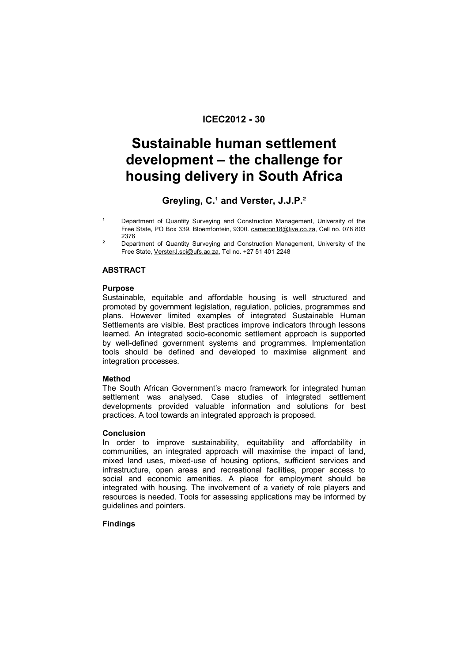# **ICEC2012 - 30**

# **Sustainable human settlement development – the challenge for housing delivery in South Africa**

# Greyling, C.<sup>1</sup> and Verster, J.J.P.<sup>2</sup>

- Department of Quantity Surveying and Construction Management, University of the Free State, PO Box 339, Bloemfontein, 9300. cameron18@live.co.za, Cell no. 078 803 2376
- Department of Quantity Surveying and Construction Management, University of the Free State, VersterJ.sci@ufs.ac.za, Tel no. +27 51 401 2248

# **ABSTRACT**

## **Purpose**

Sustainable, equitable and affordable housing is well structured and promoted by government legislation, regulation, policies, programmes and plans. However limited examples of integrated Sustainable Human Settlements are visible. Best practices improve indicators through lessons learned. An integrated socio-economic settlement approach is supported by well-defined government systems and programmes. Implementation tools should be defined and developed to maximise alignment and integration processes.

## **Method**

The South African Government's macro framework for integrated human settlement was analysed. Case studies of integrated settlement developments provided valuable information and solutions for best practices. A tool towards an integrated approach is proposed.

## **Conclusion**

In order to improve sustainability, equitability and affordability in communities, an integrated approach will maximise the impact of land, mixed land uses, mixed-use of housing options, sufficient services and infrastructure, open areas and recreational facilities, proper access to social and economic amenities. A place for employment should be integrated with housing. The involvement of a variety of role players and resources is needed. Tools for assessing applications may be informed by guidelines and pointers.

# **Findings**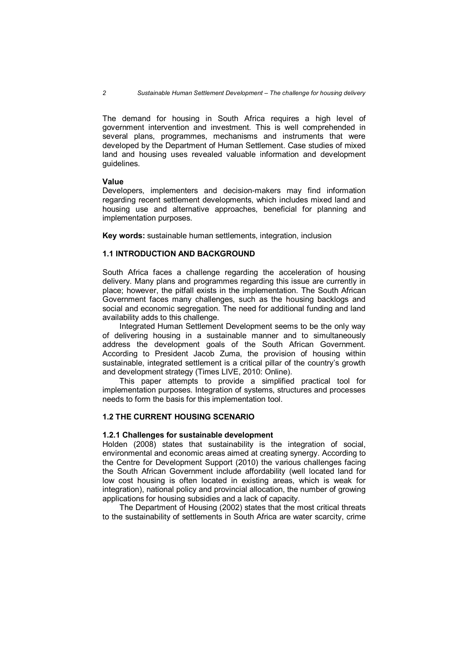The demand for housing in South Africa requires a high level of government intervention and investment. This is well comprehended in several plans, programmes, mechanisms and instruments that were developed by the Department of Human Settlement. Case studies of mixed land and housing uses revealed valuable information and development guidelines.

### **Value**

Developers, implementers and decision-makers may find information regarding recent settlement developments, which includes mixed land and housing use and alternative approaches, beneficial for planning and implementation purposes.

**Key words:** sustainable human settlements, integration, inclusion

# **1.1 INTRODUCTION AND BACKGROUND**

South Africa faces a challenge regarding the acceleration of housing delivery. Many plans and programmes regarding this issue are currently in place; however, the pitfall exists in the implementation. The South African Government faces many challenges, such as the housing backlogs and social and economic segregation. The need for additional funding and land availability adds to this challenge.

Integrated Human Settlement Development seems to be the only way of delivering housing in a sustainable manner and to simultaneously address the development goals of the South African Government. According to President Jacob Zuma, the provision of housing within sustainable, integrated settlement is a critical pillar of the country's growth and development strategy (Times LIVE, 2010: Online).

This paper attempts to provide a simplified practical tool for implementation purposes. Integration of systems, structures and processes needs to form the basis for this implementation tool.

### **1.2 THE CURRENT HOUSING SCENARIO**

### **1.2.1 Challenges for sustainable development**

Holden (2008) states that sustainability is the integration of social, environmental and economic areas aimed at creating synergy. According to the Centre for Development Support (2010) the various challenges facing the South African Government include affordability (well located land for low cost housing is often located in existing areas, which is weak for integration), national policy and provincial allocation, the number of growing applications for housing subsidies and a lack of capacity.

The Department of Housing (2002) states that the most critical threats to the sustainability of settlements in South Africa are water scarcity, crime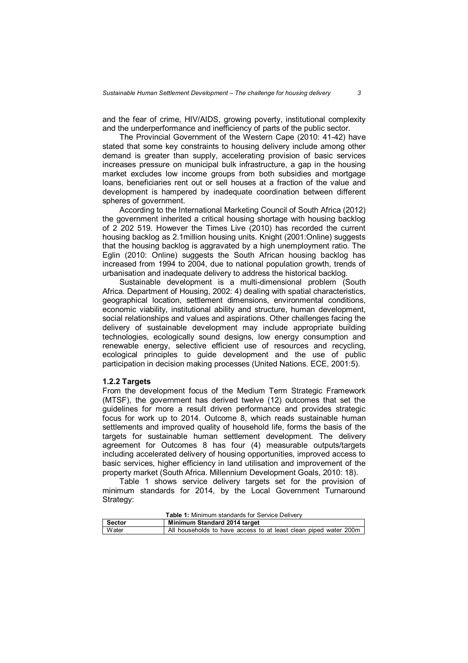and the fear of crime, HIV/AIDS, growing poverty, institutional complexity and the underperformance and inefficiency of parts of the public sector.

The Provincial Government of the Western Cape (2010: 41-42) have stated that some key constraints to housing delivery include among other demand is greater than supply, accelerating provision of basic services increases pressure on municipal bulk infrastructure, a gap in the housing market excludes low income groups from both subsidies and mortgage loans, beneficiaries rent out or sell houses at a fraction of the value and development is hampered by inadequate coordination between different spheres of government.

According to the International Marketing Council of South Africa (2012) the government inherited a critical housing shortage with housing backlog of 2 202 519. However the Times Live (2010) has recorded the current housing backlog as 2.1million housing units. Knight (2001:Online) suggests that the housing backlog is aggravated by a high unemployment ratio. The Eglin (2010: Online) suggests the South African housing backlog has increased from 1994 to 2004, due to national population growth, trends of urbanisation and inadequate delivery to address the historical backlog.

Sustainable development is a multi-dimensional problem (South Africa. Department of Housing, 2002: 4) dealing with spatial characteristics, geographical location, settlement dimensions, environmental conditions, economic viability, institutional ability and structure, human development, social relationships and values and aspirations. Other challenges facing the delivery of sustainable development may include appropriate building technologies, ecologically sound designs, low energy consumption and renewable energy, selective efficient use of resources and recycling, ecological principles to guide development and the use of public participation in decision making processes (United Nations. ECE, 2001:5).

#### **1.2.2 Targets**

From the development focus of the Medium Term Strategic Framework (MTSF), the government has derived twelve (12) outcomes that set the guidelines for more a result driven performance and provides strategic focus for work up to 2014. Outcome 8, which reads sustainable human settlements and improved quality of household life, forms the basis of the targets for sustainable human settlement development. The delivery agreement for Outcomes 8 has four (4) measurable outputs/targets including accelerated delivery of housing opportunities, improved access to basic services, higher efficiency in land utilisation and improvement of the property market (South Africa. Millennium Development Goals, 2010: 18).

Table 1 shows service delivery targets set for the provision of minimum standards for 2014, by the Local Government Turnaround Strategy:

| <b>Table 1:</b> Minimum standards for Service Delivery |                                                                  |  |  |
|--------------------------------------------------------|------------------------------------------------------------------|--|--|
| Minimum Standard 2014 target<br><b>Sector</b>          |                                                                  |  |  |
| <b>Water</b>                                           | All households to have access to at least clean piped water 200m |  |  |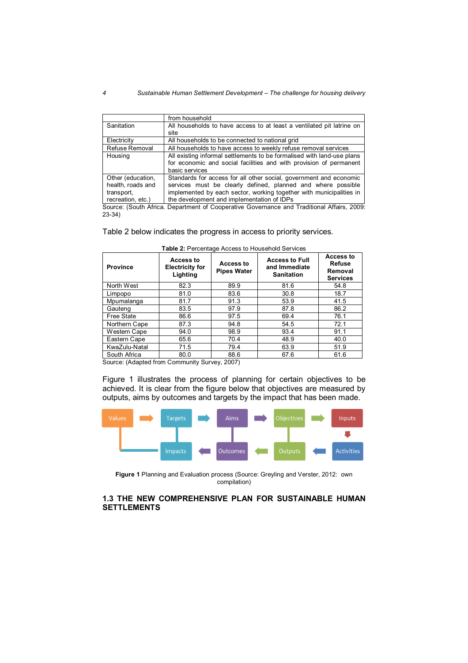#### *4 Sustainable Human Settlement Development – The challenge for housing delivery*

|                   | from household                                                                       |
|-------------------|--------------------------------------------------------------------------------------|
| Sanitation        | All households to have access to at least a ventilated pit latrine on                |
|                   | site                                                                                 |
| Electricity       | All households to be connected to national grid                                      |
| Refuse Removal    | All households to have access to weekly refuse removal services                      |
| Housing           | All existing informal settlements to be formalised with land-use plans               |
|                   | for economic and social facilities and with provision of permanent<br>basic services |
|                   |                                                                                      |
| Other (education, | Standards for access for all other social, government and economic                   |
| health, roads and | services must be clearly defined, planned and where possible                         |
| transport,        | implemented by each sector, working together with municipalities in                  |
| recreation, etc.) | the development and implementation of IDPs                                           |

Source: (South Africa. Department of Cooperative Governance and Traditional Affairs, 2009: 23-34)

### Table 2 below indicates the progress in access to priority services.

| <b>Province</b> | Access to<br><b>Electricity for</b><br>Lighting | Access to<br><b>Pipes Water</b> | <b>Access to Full</b><br>and Immediate<br><b>Sanitation</b> | Access to<br><b>Refuse</b><br>Removal<br><b>Services</b> |
|-----------------|-------------------------------------------------|---------------------------------|-------------------------------------------------------------|----------------------------------------------------------|
| North West      | 82.3                                            | 89.9                            | 81.6                                                        | 54.8                                                     |
| Limpopo         | 81.0                                            | 83.6                            | 30.8                                                        | 18.7                                                     |
| Mpumalanga      | 81.7                                            | 91.3                            | 53.9                                                        | 41.5                                                     |
| Gauteng         | 83.5                                            | 97.9                            | 87.8                                                        | 86.2                                                     |
| Free State      | 86.6                                            | 97.5                            | 69.4                                                        | 76.1                                                     |
| Northern Cape   | 87.3                                            | 94.8                            | 54.5                                                        | 72.1                                                     |
| Western Cape    | 94.0                                            | 98.9                            | 93.4                                                        | 91.1                                                     |
| Eastern Cape    | 65.6                                            | 70.4                            | 48.9                                                        | 40.0                                                     |
| KwaZulu-Natal   | 71.5                                            | 79.4                            | 63.9                                                        | 51.9                                                     |
| South Africa    | 80.0                                            | 88.6                            | 67.6                                                        | 61.6                                                     |

| Table 2: Percentage Access to Household Services |  |  |
|--------------------------------------------------|--|--|
|--------------------------------------------------|--|--|

Source: (Adapted from Community Survey, 2007)

Figure 1 illustrates the process of planning for certain objectives to be achieved. It is clear from the figure below that objectives are measured by outputs, aims by outcomes and targets by the impact that has been made.



**Figure 1** Planning and Evaluation process (Source: Greyling and Verster, 2012: own compilation)

# **1.3 THE NEW COMPREHENSIVE PLAN FOR SUSTAINABLE HUMAN SETTLEMENTS**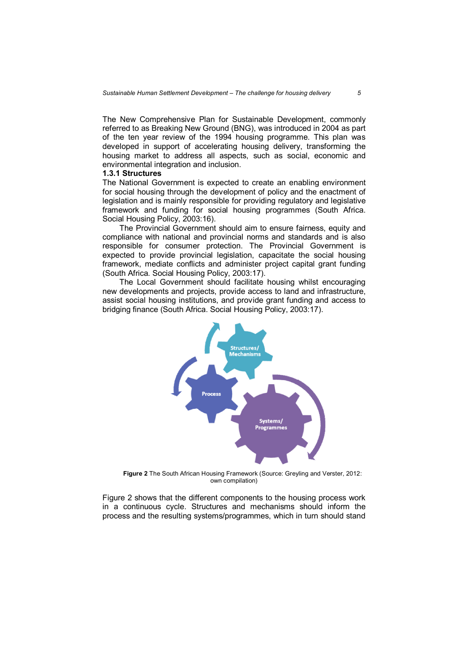The New Comprehensive Plan for Sustainable Development, commonly referred to as Breaking New Ground (BNG), was introduced in 2004 as part of the ten year review of the 1994 housing programme. This plan was developed in support of accelerating housing delivery, transforming the housing market to address all aspects, such as social, economic and environmental integration and inclusion.

### **1.3.1 Structures**

The National Government is expected to create an enabling environment for social housing through the development of policy and the enactment of legislation and is mainly responsible for providing regulatory and legislative framework and funding for social housing programmes (South Africa. Social Housing Policy, 2003:16).

The Provincial Government should aim to ensure fairness, equity and compliance with national and provincial norms and standards and is also responsible for consumer protection. The Provincial Government is expected to provide provincial legislation, capacitate the social housing framework, mediate conflicts and administer project capital grant funding (South Africa. Social Housing Policy, 2003:17).

The Local Government should facilitate housing whilst encouraging new developments and projects, provide access to land and infrastructure, assist social housing institutions, and provide grant funding and access to bridging finance (South Africa. Social Housing Policy, 2003:17).



**Figure 2** The South African Housing Framework (Source: Greyling and Verster, 2012: own compilation)

Figure 2 shows that the different components to the housing process work in a continuous cycle. Structures and mechanisms should inform the process and the resulting systems/programmes, which in turn should stand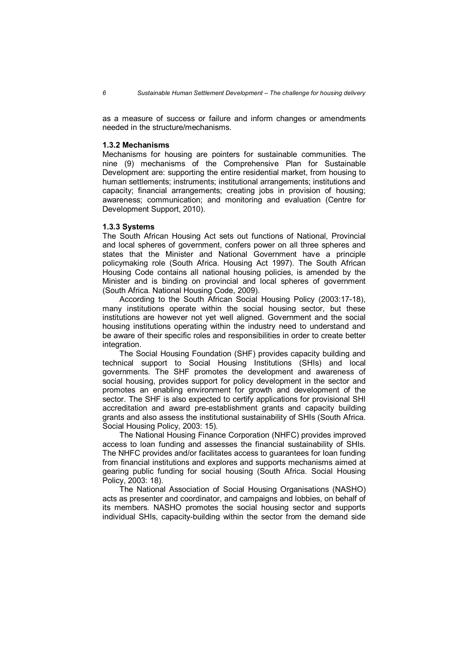as a measure of success or failure and inform changes or amendments needed in the structure/mechanisms.

### **1.3.2 Mechanisms**

Mechanisms for housing are pointers for sustainable communities. The nine (9) mechanisms of the Comprehensive Plan for Sustainable Development are: supporting the entire residential market, from housing to human settlements; instruments; institutional arrangements; institutions and capacity; financial arrangements; creating jobs in provision of housing; awareness; communication; and monitoring and evaluation (Centre for Development Support, 2010).

### **1.3.3 Systems**

The South African Housing Act sets out functions of National, Provincial and local spheres of government, confers power on all three spheres and states that the Minister and National Government have a principle policymaking role (South Africa. Housing Act 1997). The South African Housing Code contains all national housing policies, is amended by the Minister and is binding on provincial and local spheres of government (South Africa. National Housing Code, 2009).

According to the South African Social Housing Policy (2003:17-18), many institutions operate within the social housing sector, but these institutions are however not yet well aligned. Government and the social housing institutions operating within the industry need to understand and be aware of their specific roles and responsibilities in order to create better integration.

The Social Housing Foundation (SHF) provides capacity building and technical support to Social Housing Institutions (SHIs) and local governments. The SHF promotes the development and awareness of social housing, provides support for policy development in the sector and promotes an enabling environment for growth and development of the sector. The SHF is also expected to certify applications for provisional SHI accreditation and award pre-establishment grants and capacity building grants and also assess the institutional sustainability of SHIs (South Africa. Social Housing Policy, 2003: 15).

The National Housing Finance Corporation (NHFC) provides improved access to loan funding and assesses the financial sustainability of SHIs. The NHFC provides and/or facilitates access to guarantees for loan funding from financial institutions and explores and supports mechanisms aimed at gearing public funding for social housing (South Africa. Social Housing Policy, 2003: 18).

The National Association of Social Housing Organisations (NASHO) acts as presenter and coordinator, and campaigns and lobbies, on behalf of its members. NASHO promotes the social housing sector and supports individual SHIs, capacity-building within the sector from the demand side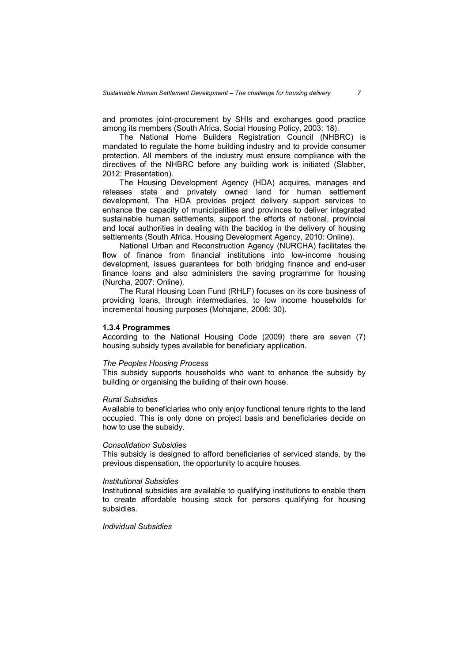and promotes joint-procurement by SHIs and exchanges good practice among its members (South Africa. Social Housing Policy, 2003: 18).

The National Home Builders Registration Council (NHBRC) is mandated to regulate the home building industry and to provide consumer protection. All members of the industry must ensure compliance with the directives of the NHBRC before any building work is initiated (Slabber, 2012: Presentation).

The Housing Development Agency (HDA) acquires, manages and releases state and privately owned land for human settlement development. The HDA provides project delivery support services to enhance the capacity of municipalities and provinces to deliver integrated sustainable human settlements, support the efforts of national, provincial and local authorities in dealing with the backlog in the delivery of housing settlements (South Africa. Housing Development Agency, 2010: Online).

National Urban and Reconstruction Agency (NURCHA) facilitates the flow of finance from financial institutions into low-income housing development, issues guarantees for both bridging finance and end-user finance loans and also administers the saving programme for housing (Nurcha, 2007: Online).

The Rural Housing Loan Fund (RHLF) focuses on its core business of providing loans, through intermediaries, to low income households for incremental housing purposes (Mohajane, 2006: 30).

### **1.3.4 Programmes**

According to the National Housing Code (2009) there are seven (7) housing subsidy types available for beneficiary application.

# *The Peoples Housing Process*

This subsidy supports households who want to enhance the subsidy by building or organising the building of their own house.

### *Rural Subsidies*

Available to beneficiaries who only enjoy functional tenure rights to the land occupied. This is only done on project basis and beneficiaries decide on how to use the subsidy.

#### *Consolidation Subsidies*

This subsidy is designed to afford beneficiaries of serviced stands, by the previous dispensation, the opportunity to acquire houses.

#### *Institutional Subsidies*

Institutional subsidies are available to qualifying institutions to enable them to create affordable housing stock for persons qualifying for housing subsidies.

### *Individual Subsidies*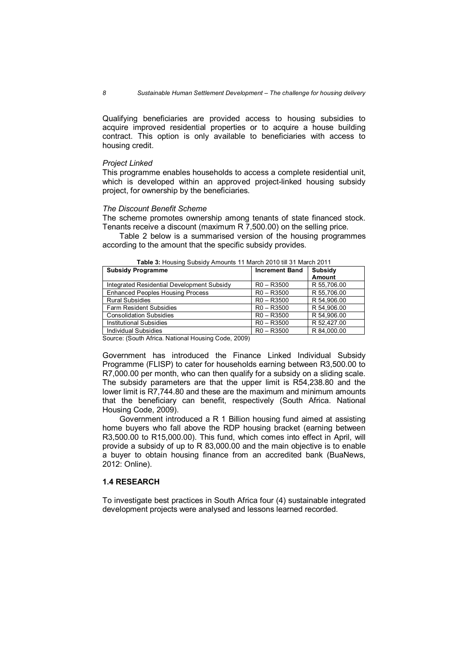Qualifying beneficiaries are provided access to housing subsidies to acquire improved residential properties or to acquire a house building contract. This option is only available to beneficiaries with access to housing credit.

### *Project Linked*

This programme enables households to access a complete residential unit, which is developed within an approved project-linked housing subsidy project, for ownership by the beneficiaries.

### *The Discount Benefit Scheme*

The scheme promotes ownership among tenants of state financed stock. Tenants receive a discount (maximum R 7,500.00) on the selling price.

Table 2 below is a summarised version of the housing programmes according to the amount that the specific subsidy provides.

| <b>Subsidy Programme</b>                   | <b>Increment Band</b> | <b>Subsidy</b><br><b>Amount</b> |
|--------------------------------------------|-----------------------|---------------------------------|
| Integrated Residential Development Subsidy | $R0 - R3500$          | R 55.706.00                     |
| <b>Enhanced Peoples Housing Process</b>    | $R0 - R3500$          | R 55,706.00                     |
| <b>Rural Subsidies</b>                     | $R0 - R3500$          | R 54,906.00                     |
| <b>Farm Resident Subsidies</b>             | $R0 - R3500$          | R 54,906.00                     |
| <b>Consolidation Subsidies</b>             | $R0 - R3500$          | R 54,906.00                     |
| Institutional Subsidies                    | $R0 - R3500$          | R 52.427.00                     |
| Individual Subsidies                       | $R0 - R3500$          | R 84,000.00                     |

**Table 3:** Housing Subsidy Amounts 11 March 2010 till 31 March 2011

Source: (South Africa. National Housing Code, 2009)

Government has introduced the Finance Linked Individual Subsidy Programme (FLISP) to cater for households earning between R3,500.00 to R7,000.00 per month, who can then qualify for a subsidy on a sliding scale. The subsidy parameters are that the upper limit is R54,238.80 and the lower limit is R7,744.80 and these are the maximum and minimum amounts that the beneficiary can benefit, respectively (South Africa. National Housing Code, 2009).

Government introduced a R 1 Billion housing fund aimed at assisting home buyers who fall above the RDP housing bracket (earning between R3,500.00 to R15,000.00). This fund, which comes into effect in April, will provide a subsidy of up to R 83,000.00 and the main objective is to enable a buyer to obtain housing finance from an accredited bank (BuaNews, 2012: Online).

### **1.4 RESEARCH**

To investigate best practices in South Africa four (4) sustainable integrated development projects were analysed and lessons learned recorded.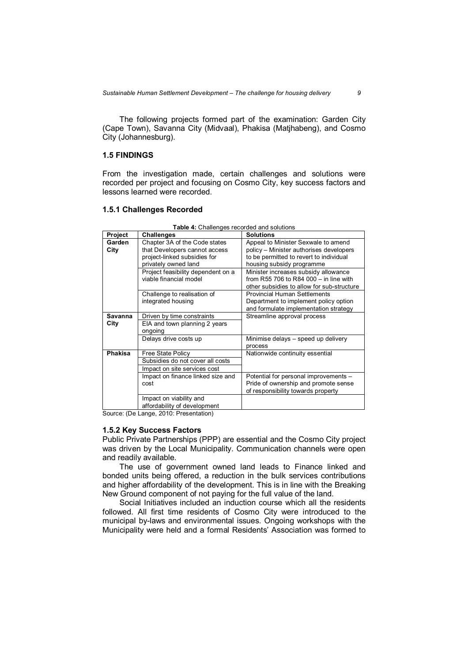The following projects formed part of the examination: Garden City (Cape Town), Savanna City (Midvaal), Phakisa (Matjhabeng), and Cosmo City (Johannesburg).

# **1.5 FINDINGS**

From the investigation made, certain challenges and solutions were recorded per project and focusing on Cosmo City, key success factors and lessons learned were recorded.

#### **1.5.1 Challenges Recorded**

|                | able in original good ooor dod and ooldth |                                            |
|----------------|-------------------------------------------|--------------------------------------------|
| Project        | <b>Challenges</b>                         | <b>Solutions</b>                           |
| Garden         | Chapter 3A of the Code states             | Appeal to Minister Sexwale to amend        |
| City           | that Developers cannot access             | policy - Minister authorises developers    |
|                | project-linked subsidies for              | to be permitted to revert to individual    |
|                | privately owned land                      | housing subsidy programme                  |
|                | Project feasibility dependent on a        | Minister increases subsidy allowance       |
|                | viable financial model                    | from R55 706 to R84 000 $-$ in line with   |
|                |                                           | other subsidies to allow for sub-structure |
|                | Challenge to realisation of               | <b>Provincial Human Settlements</b>        |
|                | integrated housing                        | Department to implement policy option      |
|                |                                           | and formulate implementation strategy      |
| <b>Savanna</b> | Driven by time constraints                | Streamline approval process                |
| City           | EIA and town planning 2 years             |                                            |
|                | ongoing                                   |                                            |
|                | Delays drive costs up                     | Minimise delays - speed up delivery        |
|                |                                           | process                                    |
| <b>Phakisa</b> | <b>Free State Policy</b>                  | Nationwide continuity essential            |
|                | Subsidies do not cover all costs          |                                            |
|                | Impact on site services cost              |                                            |
|                | Impact on finance linked size and         | Potential for personal improvements -      |
|                | cost                                      | Pride of ownership and promote sense       |
|                |                                           | of responsibility towards property         |
|                | Impact on viability and                   |                                            |
|                | affordability of development              |                                            |

**Table 4:** Challenges recorded and solutions

Source: (De Lange, 2010: Presentation)

### **1.5.2 Key Success Factors**

Public Private Partnerships (PPP) are essential and the Cosmo City project was driven by the Local Municipality. Communication channels were open and readily available.

The use of government owned land leads to Finance linked and bonded units being offered, a reduction in the bulk services contributions and higher affordability of the development. This is in line with the Breaking New Ground component of not paying for the full value of the land.

Social Initiatives included an induction course which all the residents followed. All first time residents of Cosmo City were introduced to the municipal by-laws and environmental issues. Ongoing workshops with the Municipality were held and a formal Residents' Association was formed to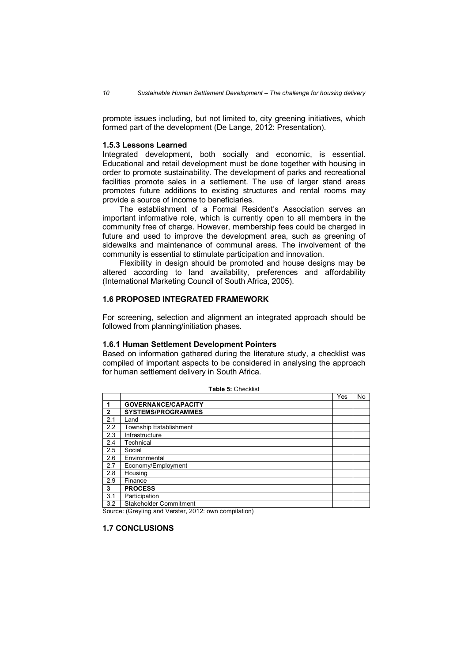promote issues including, but not limited to, city greening initiatives, which formed part of the development (De Lange, 2012: Presentation).

### **1.5.3 Lessons Learned**

Integrated development, both socially and economic, is essential. Educational and retail development must be done together with housing in order to promote sustainability. The development of parks and recreational facilities promote sales in a settlement. The use of larger stand areas promotes future additions to existing structures and rental rooms may provide a source of income to beneficiaries.

The establishment of a Formal Resident's Association serves an important informative role, which is currently open to all members in the community free of charge. However, membership fees could be charged in future and used to improve the development area, such as greening of sidewalks and maintenance of communal areas. The involvement of the community is essential to stimulate participation and innovation.

Flexibility in design should be promoted and house designs may be altered according to land availability, preferences and affordability (International Marketing Council of South Africa, 2005).

# **1.6 PROPOSED INTEGRATED FRAMEWORK**

For screening, selection and alignment an integrated approach should be followed from planning/initiation phases.

#### **1.6.1 Human Settlement Development Pointers**

Based on information gathered during the literature study, a checklist was compiled of important aspects to be considered in analysing the approach for human settlement delivery in South Africa.

|     |                               | Yes | No |
|-----|-------------------------------|-----|----|
|     | <b>GOVERNANCE/CAPACITY</b>    |     |    |
| 2   | <b>SYSTEMS/PROGRAMMES</b>     |     |    |
| 2.1 | Land                          |     |    |
| 2.2 | <b>Township Establishment</b> |     |    |
| 2.3 | Infrastructure                |     |    |
| 2.4 | Technical                     |     |    |
| 2.5 | Social                        |     |    |
| 2.6 | Environmental                 |     |    |
| 2.7 | Economy/Employment            |     |    |
| 2.8 | Housing                       |     |    |
| 2.9 | Finance                       |     |    |
| 3   | <b>PROCESS</b>                |     |    |
| 3.1 | Participation                 |     |    |
| 3.2 | <b>Stakeholder Commitment</b> |     |    |

**Table 5:** Checklist

Source: (Greyling and Verster, 2012: own compilation)

### **1.7 CONCLUSIONS**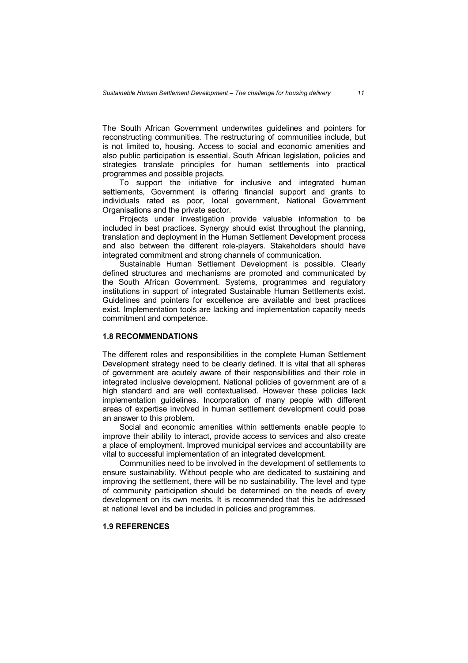The South African Government underwrites guidelines and pointers for reconstructing communities. The restructuring of communities include, but is not limited to, housing. Access to social and economic amenities and also public participation is essential. South African legislation, policies and strategies translate principles for human settlements into practical programmes and possible projects.

To support the initiative for inclusive and integrated human settlements, Government is offering financial support and grants to individuals rated as poor, local government, National Government Organisations and the private sector.

Projects under investigation provide valuable information to be included in best practices. Synergy should exist throughout the planning, translation and deployment in the Human Settlement Development process and also between the different role-players. Stakeholders should have integrated commitment and strong channels of communication.

Sustainable Human Settlement Development is possible. Clearly defined structures and mechanisms are promoted and communicated by the South African Government. Systems, programmes and regulatory institutions in support of integrated Sustainable Human Settlements exist. Guidelines and pointers for excellence are available and best practices exist. Implementation tools are lacking and implementation capacity needs commitment and competence.

### **1.8 RECOMMENDATIONS**

The different roles and responsibilities in the complete Human Settlement Development strategy need to be clearly defined. It is vital that all spheres of government are acutely aware of their responsibilities and their role in integrated inclusive development. National policies of government are of a high standard and are well contextualised. However these policies lack implementation guidelines. Incorporation of many people with different areas of expertise involved in human settlement development could pose an answer to this problem.

Social and economic amenities within settlements enable people to improve their ability to interact, provide access to services and also create a place of employment. Improved municipal services and accountability are vital to successful implementation of an integrated development.

Communities need to be involved in the development of settlements to ensure sustainability. Without people who are dedicated to sustaining and improving the settlement, there will be no sustainability. The level and type of community participation should be determined on the needs of every development on its own merits. It is recommended that this be addressed at national level and be included in policies and programmes.

### **1.9 REFERENCES**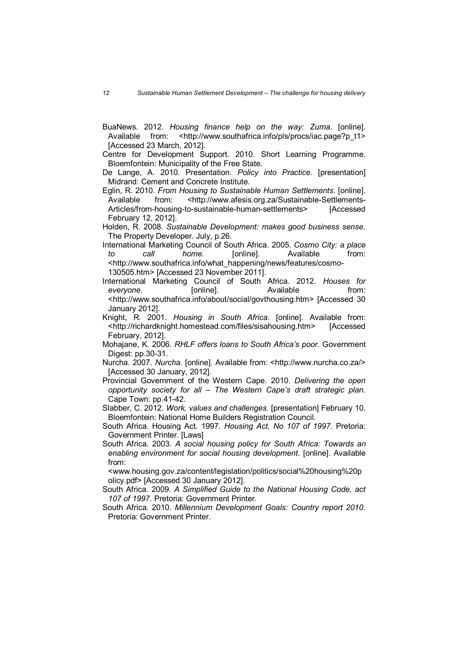- BuaNews. 2012. *Housing finance help on the way: Zuma.* [online]. Available from: <http://www.southafrica.info/pls/procs/iac.page?p\_t1> [Accessed 23 March, 2012].
- Centre for Development Support. 2010. Short Learning Programme. Bloemfontein: Municipality of the Free State.
- De Lange, A. 2010. Presentation. *Policy into Practice*. [presentation] Midrand: Cement and Concrete Institute.
- Eglin, R. 2010. *From Housing to Sustainable Human Settlements*. [online]. Available from: <http://www.afesis.org.za/Sustainable-Settlements-Articles/from-housing-to-sustainable-human-settlements> [Accessed February 12, 2012].
- Holden, R. 2008. *Sustainable Development: makes good business sense*. The Property Developer. July, p.26.
- International Marketing Council of South Africa. 2005. *Cosmo City: a place to call home.* [online]. Available from: <http://www.southafrica.info/what\_happening/news/features/cosmo-130505.htm> [Accessed 23 November 2011].
- International Marketing Council of South Africa. 2012. *Houses for*  everyone. **[online].** Consume the everyone from: <http://www.southafrica.info/about/social/govthousing.htm> [Accessed 30 January 2012].
- Knight, R. 2001. *Housing in South Africa*. [online]. Available from: <http://richardknight.homestead.com/files/sisahousing.htm> [Accessed February, 2012].
- Mohajane, K. 2006. *RHLF offers loans to South Africa's poor*. Government Digest: pp.30-31.
- Nurcha. 2007. *Nurcha.* [online]. Available from: <http://www.nurcha.co.za/> [Accessed 30 January, 2012].
- Provincial Government of the Western Cape. 2010. *Delivering the open opportunity society for all – The Western Cape's draft strategic plan.* Cape Town: pp.41-42.
- Slabber, C. 2012. *Work, values and challenges.* [presentation] February 10. Bloemfontein: National Home Builders Registration Council.
- South Africa. Housing Act. 1997. *Housing Act, No 107 of 1997*. Pretoria: Government Printer. [Laws]
- South Africa. 2003. *A social housing policy for South Africa: Towards an enabling environment for social housing development*. [online]. Available from:

<www.housing.gov.za/content/legislation/politics/social%20housing%20p olicy.pdf> [Accessed 30 January 2012].

- South Africa. 2009. *A Simplified Guide to the National Housing Code, act 107 of 1997*. Pretoria: Government Printer.
- South Africa. 2010. *Millennium Development Goals: Country report 2010*. Pretoria: Government Printer.